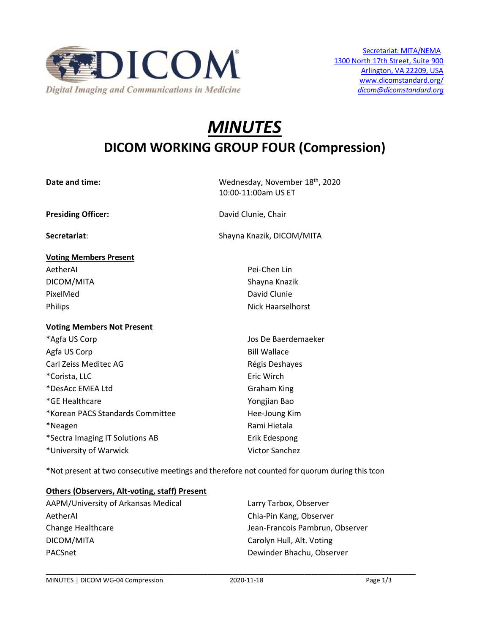

# *MINUTES* **DICOM WORKING GROUP FOUR (Compression)**

**Date and time:** The Matter of the Mednesday, November 18<sup>th</sup>, 2020 10:00-11:00am US ET

**Presiding Officer:** David Clunie, Chair

**Secretariat:** Shayna Knazik, DICOM/MITA

| Pei-Chen Lin      |
|-------------------|
| Shayna Knazik     |
| David Clunie      |
| Nick Haarselhorst |
|                   |

#### **Voting Members Not Present**

\*Agfa US Corp **Jos De Baerdemaeker** Agfa US Corp **Bill Wallace** Carl Zeiss Meditec AG **Régis Deshayes** Carl Zeiss Deshayes \*Corista, LLC **Example 2018** Eric Wirch \*DesAcc EMEA Ltd Graham King \*GE Healthcare Yongjian Bao \*Korean PACS Standards Committee https://www.mateural.committee \*Neagen **Rami Hietala** \*Sectra Imaging IT Solutions AB Erik Edespong \*University of Warwick Victor Sanchez

\*Not present at two consecutive meetings and therefore not counted for quorum during this tcon

#### **Others (Observers, Alt-voting, staff) Present**

AAPM/University of Arkansas Medical Larry Tarbox, Observer AetherAI Chia-Pin Kang, Observer Change Healthcare **Jean-Francois Pambrun, Observer** DICOM/MITA Carolyn Hull, Alt. Voting PACSnet **PACSnet** Dewinder Bhachu, Observer

\_\_\_\_\_\_\_\_\_\_\_\_\_\_\_\_\_\_\_\_\_\_\_\_\_\_\_\_\_\_\_\_\_\_\_\_\_\_\_\_\_\_\_\_\_\_\_\_\_\_\_\_\_\_\_\_\_\_\_\_\_\_\_\_\_\_\_\_\_\_\_\_\_\_\_\_\_\_\_\_\_\_\_\_\_\_\_\_\_\_\_\_\_\_\_\_\_\_\_\_\_\_\_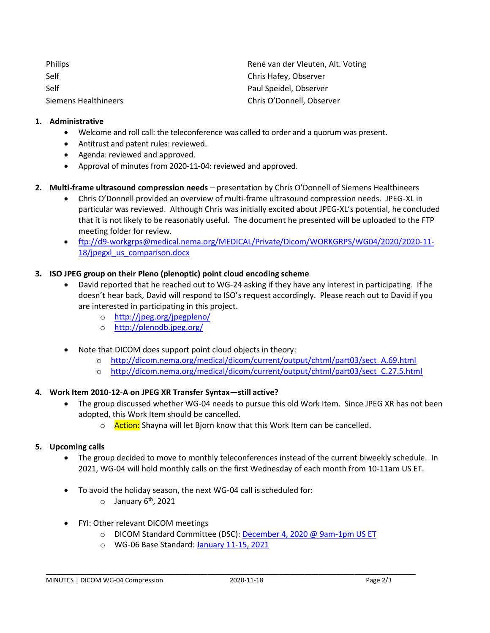| <b>Philips</b>       | René van der Vleuten, Alt. Voting |
|----------------------|-----------------------------------|
| Self                 | Chris Hafey, Observer             |
| Self                 | Paul Speidel, Observer            |
| Siemens Healthineers | Chris O'Donnell, Observer         |

#### **1. Administrative**

- Welcome and roll call: the teleconference was called to order and a quorum was present.
- Antitrust and patent rules: reviewed.
- Agenda: reviewed and approved.
- Approval of minutes from 2020-11-04: reviewed and approved.
- **2. Multi-frame ultrasound compression needs**  presentation by Chris O'Donnell of Siemens Healthineers
	- Chris O'Donnell provided an overview of multi-frame ultrasound compression needs. JPEG-XL in particular was reviewed. Although Chris was initially excited about JPEG-XL's potential, he concluded that it is not likely to be reasonably useful. The document he presented will be uploaded to the FTP meeting folder for review.
	- [ftp://d9-workgrps@medical.nema.org/MEDICAL/Private/Dicom/WORKGRPS/WG04/2020/2020-11-](ftp://d9-workgrps@medical.nema.org/MEDICAL/Private/Dicom/WORKGRPS/WG04/2020/2020-11-18/jpegxl_us_comparison.docx) 18/jpegxl us comparison.docx

#### **3. ISO JPEG group on their Pleno (plenoptic) point cloud encoding scheme**

- David reported that he reached out to WG-24 asking if they have any interest in participating. If he doesn't hear back, David will respond to ISO's request accordingly. Please reach out to David if you are interested in participating in this project.
	- o <http://jpeg.org/jpegpleno/>
	- o <http://plenodb.jpeg.org/>
- Note that DICOM does support point cloud objects in theory:
	- [http://dicom.nema.org/medical/dicom/current/output/chtml/part03/sect\\_A.69.html](http://dicom.nema.org/medical/dicom/current/output/chtml/part03/sect_A.69.html)
	- o [http://dicom.nema.org/medical/dicom/current/output/chtml/part03/sect\\_C.27.5.html](http://dicom.nema.org/medical/dicom/current/output/chtml/part03/sect_C.27.5.html)

#### **4. Work Item 2010-12-A on JPEG XR Transfer Syntax—still active?**

- The group discussed whether WG-04 needs to pursue this old Work Item. Since JPEG XR has not been adopted, this Work Item should be cancelled.
	- o **Action:** Shayna will let Bjorn know that this Work Item can be cancelled.

#### **5. Upcoming calls**

- The group decided to move to monthly teleconferences instead of the current biweekly schedule. In 2021, WG-04 will hold monthly calls on the first Wednesday of each month from 10-11am US ET.
- To avoid the holiday season, the next WG-04 call is scheduled for:
	- $\circ$  January 6<sup>th</sup>, 2021
- FYI: Other relevant DICOM meetings
	- o DICOM Standard Committee (DSC): [December 4, 2020 @ 9am-1pm US ET](http://workspaces-old.nema.org/dicom/Lists/Calendar/DispForm.aspx?ID=4045&Source=http%3A%2F%2Fworkspaces%2Dold%2Enema%2Eorg%2Fdicom%2FLists%2FCalendar%2Fcalendar%2Easpx)

\_\_\_\_\_\_\_\_\_\_\_\_\_\_\_\_\_\_\_\_\_\_\_\_\_\_\_\_\_\_\_\_\_\_\_\_\_\_\_\_\_\_\_\_\_\_\_\_\_\_\_\_\_\_\_\_\_\_\_\_\_\_\_\_\_\_\_\_\_\_\_\_\_\_\_\_\_\_\_\_\_\_\_\_\_\_\_\_\_\_\_\_\_\_\_\_\_\_\_\_\_\_\_

o WG-06 Base Standard: [January 11-15, 2021](http://workspaces-old.nema.org/dicom/Lists/Calendar/DispForm.aspx?ID=4071&Source=http%3A%2F%2Fworkspaces%2Dold%2Enema%2Eorg%2Fdicom%2FLists%2FCalendar%2Fcalendar%2Easpx)